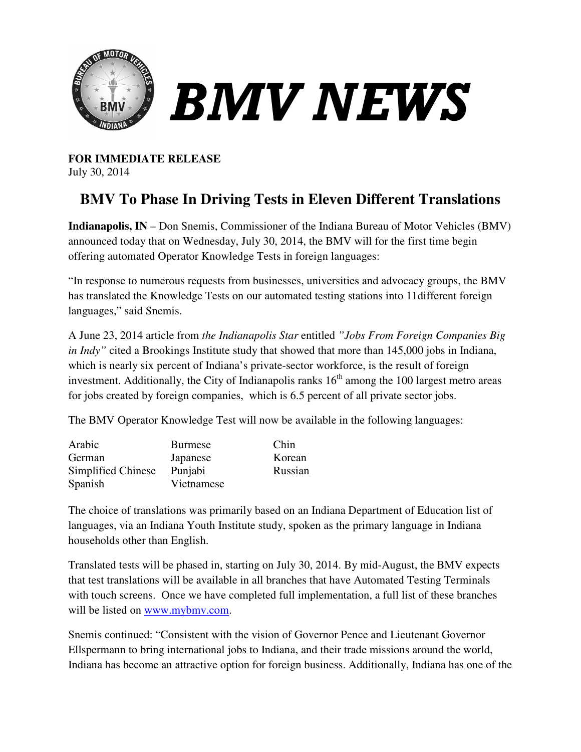

**FOR IMMEDIATE RELEASE** July 30, 2014

# **BMV To Phase In Driving Tests in Eleven Different Translations**

**Indianapolis, IN** – Don Snemis, Commissioner of the Indiana Bureau of Motor Vehicles (BMV) announced today that on Wednesday, July 30, 2014, the BMV will for the first time begin offering automated Operator Knowledge Tests in foreign languages: lis, IN – Don Snemis, Commissioner of the Indiana Bureau of Motor Vehicles (BM today that on Wednesday, July 30, 2014, the BMV will for the first time begin comated Operator Knowledge Tests in foreign languages:<br>e to numer

"In response to numerous requests from businesses, universities and advocacy groups, the BMV has translated the Knowledge Tests on our automated testing stations into 11different foreign languages," said Snemis.

A June 23, 2014 article from *the Indianapolis Star* entitled "Jobs From Foreign Companies Big in Indy" cited a Brookings Institute study that showed that more than 145,000 jobs in Indiana, which is nearly six percent of Indiana's private-sector workforce, is the result of foreign investment. Additionally, the City of Indianapolis ranks  $16<sup>th</sup>$  among the 100 largest metro areas for jobs created by foreign companies, which is 6.5 percent of all private sector jobs.

for jobs created by foreign companies, which is 6.5 percent of all private sector jobs.<br>The BMV Operator Knowledge Test will now be available in the following languages:

| Arabic             | <b>Burmese</b> | Chin    |
|--------------------|----------------|---------|
| German             | Japanese       | Korean  |
| Simplified Chinese | Punjabi        | Russian |
| Spanish            | Vietnamese     |         |

The choice of translations was primarily based on an Indiana Department of Education list of The choice of translations was primarily based on an Indiana Department of Education list<br>languages, via an Indiana Youth Institute study, spoken as the primary language in Indiana households other than English. 100 largest metro a<br>
e sector jobs.<br>
ving languages:<br>
at of Education list<br>
anguage in Indiana

Translated tests will be phased in, starting on July 30, 2014. By mid-August, the BMV expects that test translations will be available in all branches that have Automated Testing Terminals with touch screens. Once we have completed full implementation, a full list of these branches will be listed on www.mybmv.com. ons will be available in all branches<br>ns. Once we have completed full im<br>www.mybmv.com. starting on July 30, 2014. By mid-August, the BMV expect<br>able in all branches that have Automated Testing Terminals<br>e completed full implementation, a full list of these branches<br>amdina, and Governor Pence and Lieutenant G

Snemis continued: "Consistent with the vision of Governor Pence and Lieutenant Governor Snemis continued: "Consistent with the vision of Governor Pence and Lieutenant Governor<br>Ellspermann to bring international jobs to Indiana, and their trade missions around the world, Indiana has become an attractive option for foreign business. Additionally, Indiana has one of the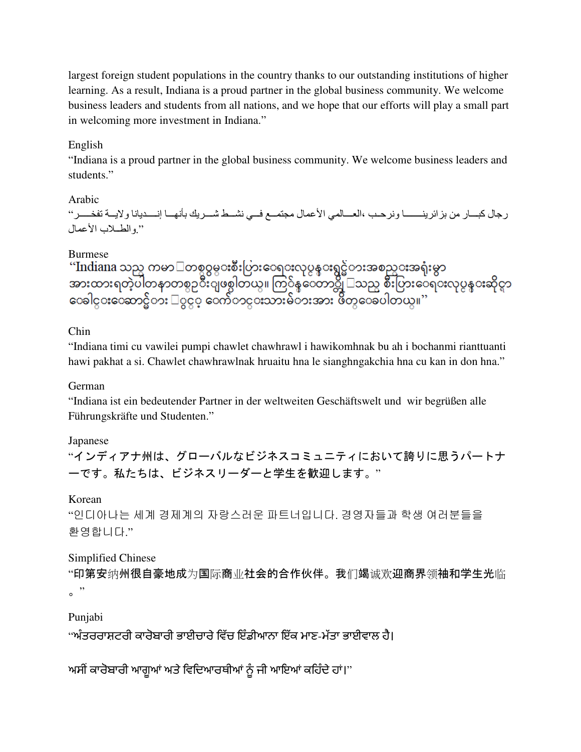largest foreign student populations in the country thanks to our outstanding institutions of higher learning. As a result, Indiana is a proud partner in the global business community. We welcome business leaders and students from all nations, and we hope that our efforts will play a small part in welcoming more investment in Indiana." In the global business community. We see leaders and students from all nations, and we hope that our efforts will play a coming more investment in Indiana."<br>A in the set of the seed of the scheme of the scheme in the globa

#### English

"Indiana is a proud partner in the global business community. We welcome business leaders and students."

#### Arabic

رجال كبـــار من بزائرينــــــــا ونرحـب ،العـــالمي الأعمال مجتمــع فــي نشــط شـــريك بأنهـــا إنــــديانا ولايـــة تفخــــر" ------------------------ ".والط-ب اعمال -----------------------------------

Burmese<br>''Indiana သည္ ကမာ<sup>ြ</sup>တစ္ပဝွမွ**းစီး**ပြားေရ**း**လုပ္ငန္းရွင္မဲတးအစည္းအရုံးမွာ<br>အားထားရတဲ့ပါတနာတစ္ဝုိးျဖစ္ပါတယ္။ ကြ်န္ေတာ္တို ြသည္ပ စီးပြားေရ**း**လုပ္ငန္းဆိုင္ရာ<br>ေခါင္းေဆာင္မဲတး ြဝွငွ္ ေက်ာင္းသားမ်ဲဘးအား ဖိတ္ပ**ေ**ခပါတယ္။''

# Chin

"Indiana timi cu vawilei pumpi chawlet chawhrawl i hawikomhnak bu ah i bochanmi rianttuanti hawi pakhat a si. Chawlet chawhrawlnak hruaitu hna le sianghngakchia hna cu kan in don hna."

#### German

hawi pakhat a si. Chawlet chawhrawlnak hruaitu hna le sianghngakchia hna cu kan in don hr<br>German<br>"Indiana ist ein bedeutender Partner in der weltweiten Geschäftswelt und wir begrüßen alle Führungskräfte und Studenten."

# Japanese

"インディアナ州は、グローバルなビジネスコミュニティにおいて誇りに思うパートナ ンディアナ州は、グローバルなビジネスコミュニティにおいて誇りに思うパートナーです。私たちは、ビジネスリーダーと学生を歓迎します。 "

# Korean

"인디아나는 세계 경제계의 자랑스러운 파트너입니다. 경영자들과 학생 여러분들을 환영합니다."

# Simplified Chinese

"印第安纳州很自豪地成为国际商业社会的合作伙伴。我们竭诚欢迎商界领袖和学生光临  $\mathbf{e}$  "

# Punjabi

"ਅੰਤਰਰਾਸ਼ਟਰੀ ਕਾਰੋਬਾਰੀ ਭਾਈਚਾਰੇ ਵਿੱਚ ਇੰਡੀਆਨਾ ਇੱਕ ਮਾਣ-ਮੱਤਾ ਭਾਈਵਾਲ ਹੈ।

ਅਸੀਂ ਕਾਰੋਬਾਰੀ ਆਗੂਆਂ ਅਤੇ ਵਿਦਿਆਰਥੀਆਂ ਨੂੰ ਜੀ ਆਇਆਂ ਕਹਿੰਦੇ ਹਾਂ।''